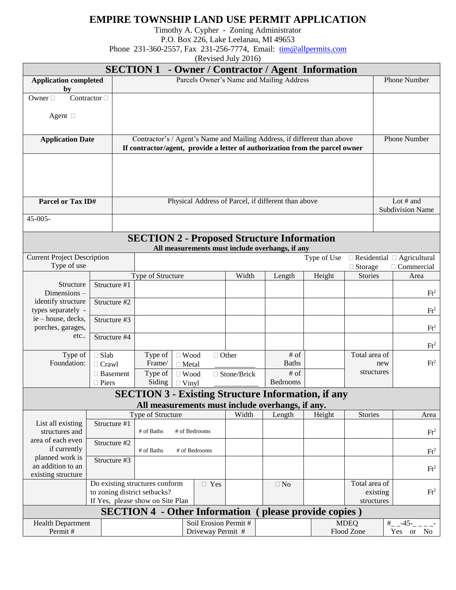## **EMPIRE TOWNSHIP LAND USE PERMIT APPLICATION**

Timothy A. Cypher - Zoning Administrator

P.O. Box 226, Lake Leelanau, MI 49653

Phone 231-360-2557, Fax 231-256-7774, Email: [tim@allpermits.com](mailto:tim@allpermits.com)

(Revised July 2016)

| <b>SECTION 1</b><br>- Owner / Contractor / Agent Information                                                      |                                 |                                            |                                                                              |                                        |               |               |                                                                                                               |                       |                                        |                         |                           |  |
|-------------------------------------------------------------------------------------------------------------------|---------------------------------|--------------------------------------------|------------------------------------------------------------------------------|----------------------------------------|---------------|---------------|---------------------------------------------------------------------------------------------------------------|-----------------------|----------------------------------------|-------------------------|---------------------------|--|
| <b>Application completed</b>                                                                                      |                                 | Parcels Owner's Name and Mailing Address   |                                                                              |                                        |               |               |                                                                                                               |                       |                                        | Phone Number            |                           |  |
| by<br>Contractor $\Box$<br>Owner $\Box$                                                                           |                                 |                                            |                                                                              |                                        |               |               |                                                                                                               |                       |                                        |                         |                           |  |
|                                                                                                                   |                                 |                                            |                                                                              |                                        |               |               |                                                                                                               |                       |                                        |                         |                           |  |
| Agent $\square$                                                                                                   |                                 |                                            |                                                                              |                                        |               |               |                                                                                                               |                       |                                        |                         |                           |  |
|                                                                                                                   |                                 |                                            |                                                                              |                                        |               |               |                                                                                                               |                       |                                        |                         |                           |  |
| <b>Application Date</b>                                                                                           |                                 |                                            | Contractor's / Agent's Name and Mailing Address, if different than above     |                                        |               |               |                                                                                                               |                       |                                        |                         | <b>Phone Number</b>       |  |
|                                                                                                                   |                                 |                                            | If contractor/agent, provide a letter of authorization from the parcel owner |                                        |               |               |                                                                                                               |                       |                                        |                         |                           |  |
|                                                                                                                   |                                 |                                            |                                                                              |                                        |               |               |                                                                                                               |                       |                                        |                         |                           |  |
|                                                                                                                   |                                 |                                            |                                                                              |                                        |               |               |                                                                                                               |                       |                                        |                         |                           |  |
|                                                                                                                   |                                 |                                            |                                                                              |                                        |               |               |                                                                                                               |                       |                                        |                         |                           |  |
| Parcel or Tax ID#                                                                                                 |                                 |                                            | Physical Address of Parcel, if different than above                          |                                        |               |               |                                                                                                               |                       |                                        |                         | Lot # and                 |  |
|                                                                                                                   |                                 |                                            |                                                                              |                                        |               |               |                                                                                                               |                       |                                        | <b>Subdivision Name</b> |                           |  |
| $45 - 005 -$                                                                                                      |                                 |                                            |                                                                              |                                        |               |               |                                                                                                               |                       |                                        |                         |                           |  |
|                                                                                                                   |                                 |                                            |                                                                              |                                        |               |               | <b>SECTION 2 - Proposed Structure Information</b>                                                             |                       |                                        |                         |                           |  |
|                                                                                                                   |                                 |                                            |                                                                              |                                        |               |               | All measurements must include overhangs, if any                                                               |                       |                                        |                         |                           |  |
| <b>Current Project Description</b>                                                                                |                                 |                                            |                                                                              |                                        |               |               |                                                                                                               | Type of Use           | $\Box$ Residential $\Box$ Agricultural |                         |                           |  |
|                                                                                                                   | Type of use                     |                                            |                                                                              | Type of Structure                      |               |               | Height<br>Length                                                                                              |                       | $\Box$ Storage<br><b>Stories</b>       |                         | $\Box$ Commercial<br>Area |  |
| Structure                                                                                                         |                                 | Structure #1                               |                                                                              |                                        |               | Width         |                                                                                                               |                       |                                        |                         |                           |  |
| Dimensions-                                                                                                       |                                 |                                            |                                                                              |                                        |               |               |                                                                                                               |                       |                                        |                         | $Ft^2$                    |  |
| identify structure<br>types separately -                                                                          |                                 | Structure #2                               |                                                                              |                                        |               |               |                                                                                                               |                       |                                        |                         | $Ft^2$                    |  |
| ie - house, decks,                                                                                                |                                 | Structure #3                               |                                                                              |                                        |               |               |                                                                                                               |                       |                                        |                         |                           |  |
| porches, garages,                                                                                                 | Structure #4<br>etc             |                                            |                                                                              |                                        |               |               |                                                                                                               |                       |                                        |                         | $Ft^2$                    |  |
|                                                                                                                   |                                 |                                            |                                                                              |                                        |               |               |                                                                                                               |                       |                                        |                         | $Ft^2$                    |  |
| Type of                                                                                                           | $\Box$ Slab                     |                                            |                                                                              | Type of<br>$\Box$ Wood<br>$\Box$ Other |               |               |                                                                                                               | # of<br>Total area of |                                        |                         |                           |  |
| Foundation:<br>$\Box$ Crawl                                                                                       |                                 |                                            | Frame/<br>$\Box$ Metal                                                       |                                        |               | <b>Baths</b>  |                                                                                                               |                       | new                                    |                         | $Ft^2$                    |  |
|                                                                                                                   | $\Box$ Basement<br>$\Box$ Piers |                                            | Type of                                                                      | $\Box$ Wood                            |               | □ Stone/Brick | $\overline{\text{# of}}$<br>Bedrooms                                                                          |                       | structures                             |                         |                           |  |
|                                                                                                                   |                                 |                                            | Siding                                                                       | $\Box$ Vinyl                           |               |               |                                                                                                               |                       |                                        |                         |                           |  |
|                                                                                                                   |                                 |                                            |                                                                              |                                        |               |               | <b>SECTION 3 - Existing Structure Information, if any</b><br>All measurements must include overhangs, if any. |                       |                                        |                         |                           |  |
|                                                                                                                   |                                 |                                            | Type of Structure                                                            |                                        |               | Width         | Length                                                                                                        | Height                | <b>Stories</b>                         |                         | Area                      |  |
| List all existing                                                                                                 |                                 | Structure #1                               |                                                                              |                                        |               |               |                                                                                                               |                       |                                        |                         |                           |  |
| structures and<br>area of each even                                                                               |                                 |                                            | # of Baths                                                                   |                                        | # of Bedrooms |               |                                                                                                               |                       |                                        |                         | $Ft^2$                    |  |
| if currently                                                                                                      |                                 | Structure #2                               | # of Baths<br># of Bedrooms                                                  |                                        |               |               |                                                                                                               |                       |                                        |                         | $Ft^2$                    |  |
| planned work is                                                                                                   |                                 | Structure #3                               |                                                                              |                                        |               |               |                                                                                                               |                       |                                        |                         |                           |  |
| an addition to an<br>existing structure                                                                           |                                 |                                            |                                                                              |                                        |               |               |                                                                                                               |                       |                                        |                         | $Ft^2$                    |  |
|                                                                                                                   |                                 |                                            | Do existing structures conform                                               |                                        | $\Box$ Yes    |               | $\Box$ No                                                                                                     |                       | Total area of                          |                         |                           |  |
|                                                                                                                   |                                 | to zoning district setbacks?               |                                                                              |                                        |               |               |                                                                                                               |                       | existing                               | $Ft^2$                  |                           |  |
| If Yes, please show on Site Plan<br>structures<br><b>SECTION 4 - Other Information</b><br>(please provide copies) |                                 |                                            |                                                                              |                                        |               |               |                                                                                                               |                       |                                        |                         |                           |  |
| Health Department                                                                                                 |                                 |                                            |                                                                              |                                        |               |               |                                                                                                               |                       | <b>MDEQ</b>                            |                         | $#$ <sub>-</sub> $-45$ -  |  |
| Permit#                                                                                                           |                                 | Soil Erosion Permit #<br>Driveway Permit # |                                                                              |                                        |               |               |                                                                                                               | Flood Zone            | Yes or No                              |                         |                           |  |